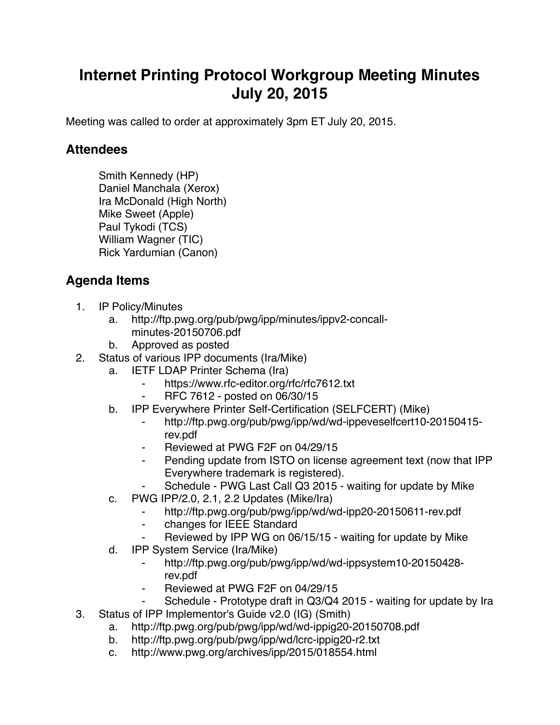## **Internet Printing Protocol Workgroup Meeting Minutes July 20, 2015**

Meeting was called to order at approximately 3pm ET July 20, 2015.

## **Attendees**

Smith Kennedy (HP) Daniel Manchala (Xerox) Ira McDonald (High North) Mike Sweet (Apple) Paul Tykodi (TCS) William Wagner (TIC) Rick Yardumian (Canon)

## **Agenda Items**

- 1. IP Policy/Minutes
	- a. http://ftp.pwg.org/pub/pwg/ipp/minutes/ippv2-concallminutes-20150706.pdf
	- b. Approved as posted
- 2. Status of various IPP documents (Ira/Mike)
	- a. IETF LDAP Printer Schema (Ira)
		- ⁃ https://www.rfc-editor.org/rfc/rfc7612.txt
		- ⁃ RFC 7612 posted on 06/30/15
	- b. IPP Everywhere Printer Self-Certification (SELFCERT) (Mike)
		- ⁃ http://ftp.pwg.org/pub/pwg/ipp/wd/wd-ippeveselfcert10-20150415 rev.pdf
		- ⁃ Reviewed at PWG F2F on 04/29/15
		- ⁃ Pending update from ISTO on license agreement text (now that IPP Everywhere trademark is registered).
			- Schedule PWG Last Call Q3 2015 waiting for update by Mike
	- c. PWG IPP/2.0, 2.1, 2.2 Updates (Mike/Ira)
		- http://ftp.pwg.org/pub/pwg/ipp/wd/wd-ipp20-20150611-rev.pdf
		- ⁃ changes for IEEE Standard
		- Reviewed by IPP WG on 06/15/15 waiting for update by Mike
	- d. IPP System Service (Ira/Mike)
		- ⁃ http://ftp.pwg.org/pub/pwg/ipp/wd/wd-ippsystem10-20150428 rev.pdf
		- Reviewed at PWG F2F on 04/29/15
		- Schedule Prototype draft in Q3/Q4 2015 waiting for update by Ira
- 3. Status of IPP Implementor's Guide v2.0 (IG) (Smith)
	- a. http://ftp.pwg.org/pub/pwg/ipp/wd/wd-ippig20-20150708.pdf
	- b. http://ftp.pwg.org/pub/pwg/ipp/wd/lcrc-ippig20-r2.txt
	- c. http://www.pwg.org/archives/ipp/2015/018554.html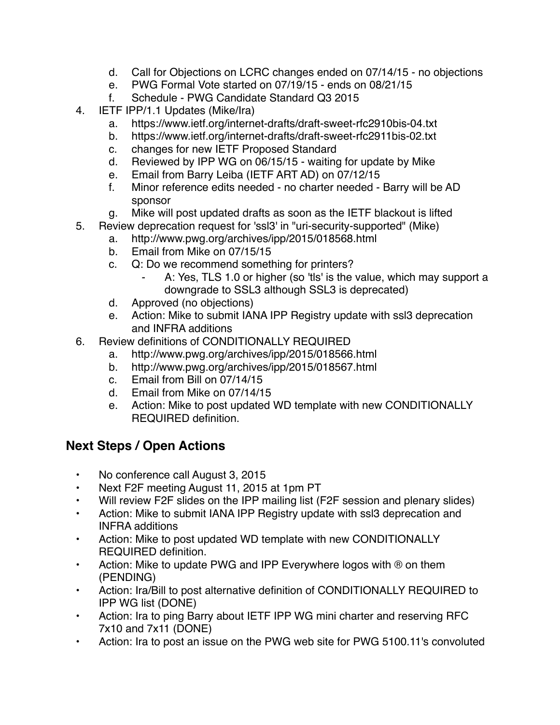- d. Call for Objections on LCRC changes ended on 07/14/15 no objections
- e. PWG Formal Vote started on 07/19/15 ends on 08/21/15
- f. Schedule PWG Candidate Standard Q3 2015
- 4. IETF IPP/1.1 Updates (Mike/Ira)
	- a. https://www.ietf.org/internet-drafts/draft-sweet-rfc2910bis-04.txt
	- b. https://www.ietf.org/internet-drafts/draft-sweet-rfc2911bis-02.txt
	- c. changes for new IETF Proposed Standard
	- d. Reviewed by IPP WG on 06/15/15 waiting for update by Mike
	- e. Email from Barry Leiba (IETF ART AD) on 07/12/15
	- f. Minor reference edits needed no charter needed Barry will be AD sponsor
	- g. Mike will post updated drafts as soon as the IETF blackout is lifted
- 5. Review deprecation request for 'ssl3' in "uri-security-supported" (Mike)
	- a. http://www.pwg.org/archives/ipp/2015/018568.html
	- b. Email from Mike on 07/15/15
	- c. Q: Do we recommend something for printers?
		- A: Yes, TLS 1.0 or higher (so 'tls' is the value, which may support a downgrade to SSL3 although SSL3 is deprecated)
	- d. Approved (no objections)
	- e. Action: Mike to submit IANA IPP Registry update with ssl3 deprecation and INFRA additions
- 6. Review definitions of CONDITIONALLY REQUIRED
	- a. http://www.pwg.org/archives/ipp/2015/018566.html
	- b. http://www.pwg.org/archives/ipp/2015/018567.html
	- c. Email from Bill on 07/14/15
	- d. Email from Mike on 07/14/15
	- e. Action: Mike to post updated WD template with new CONDITIONALLY REQUIRED definition.

## **Next Steps / Open Actions**

- No conference call August 3, 2015
- Next F2F meeting August 11, 2015 at 1pm PT
- Will review F2F slides on the IPP mailing list (F2F session and plenary slides)
- Action: Mike to submit IANA IPP Registry update with ssl3 deprecation and INFRA additions
- Action: Mike to post updated WD template with new CONDITIONALLY REQUIRED definition.
- Action: Mike to update PWG and IPP Everywhere logos with ® on them (PENDING)
- Action: Ira/Bill to post alternative definition of CONDITIONALLY REQUIRED to IPP WG list (DONE)
- Action: Ira to ping Barry about IETF IPP WG mini charter and reserving RFC 7x10 and 7x11 (DONE)
- Action: Ira to post an issue on the PWG web site for PWG 5100.11's convoluted